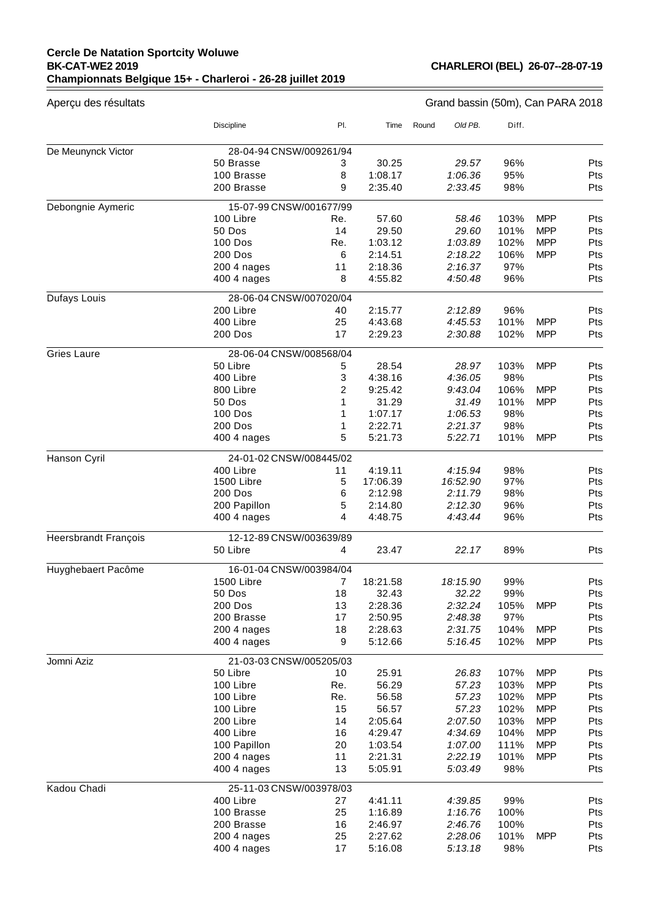## **Cercle De Natation Sportcity Woluwe BK-CAT-WE2 2019 Championnats Belgique 15+ - Charleroi - 26-28 juillet 2019**

**CHARLEROI (BEL) 26-07--28-07-19**

 $=$ 

| Aperçu des résultats        | Grand bassin (50m), Can PARA 2018 |     |          |       |          |       |            |     |
|-----------------------------|-----------------------------------|-----|----------|-------|----------|-------|------------|-----|
|                             | Discipline                        | PI. | Time     | Round | Old PB.  | Diff. |            |     |
| De Meunynck Victor          | 28-04-94 CNSW/009261/94           |     |          |       |          |       |            |     |
|                             | 50 Brasse                         | 3   | 30.25    |       | 29.57    | 96%   |            | Pts |
|                             | 100 Brasse                        | 8   | 1:08.17  |       | 1:06.36  | 95%   |            | Pts |
|                             | 200 Brasse                        | 9   | 2:35.40  |       | 2:33.45  | 98%   |            | Pts |
| Debongnie Aymeric           | 15-07-99 CNSW/001677/99           |     |          |       |          |       |            |     |
|                             | 100 Libre                         | Re. | 57.60    |       | 58.46    | 103%  | <b>MPP</b> | Pts |
|                             | 50 Dos                            | 14  | 29.50    |       | 29.60    | 101%  | <b>MPP</b> | Pts |
|                             | 100 Dos                           | Re. | 1:03.12  |       | 1:03.89  | 102%  | <b>MPP</b> | Pts |
|                             | 200 Dos                           | 6   | 2:14.51  |       | 2:18.22  | 106%  | <b>MPP</b> | Pts |
|                             | 200 4 nages                       | 11  | 2:18.36  |       | 2:16.37  | 97%   |            | Pts |
|                             | 400 4 nages                       | 8   | 4:55.82  |       | 4:50.48  | 96%   |            | Pts |
| Dufays Louis                | 28-06-04 CNSW/007020/04           |     |          |       |          |       |            |     |
|                             | 200 Libre                         | 40  | 2:15.77  |       | 2:12.89  | 96%   |            | Pts |
|                             | 400 Libre                         | 25  | 4:43.68  |       | 4:45.53  | 101%  | <b>MPP</b> | Pts |
|                             | 200 Dos                           | 17  | 2:29.23  |       | 2:30.88  | 102%  | <b>MPP</b> | Pts |
| <b>Gries Laure</b>          | 28-06-04 CNSW/008568/04           |     |          |       |          |       |            |     |
|                             | 50 Libre                          | 5   | 28.54    |       | 28.97    | 103%  | <b>MPP</b> | Pts |
|                             | 400 Libre                         | 3   | 4:38.16  |       | 4:36.05  | 98%   |            | Pts |
|                             | 800 Libre                         | 2   | 9:25.42  |       | 9:43.04  | 106%  | <b>MPP</b> | Pts |
|                             | 50 Dos                            | 1   | 31.29    |       | 31.49    | 101%  | <b>MPP</b> | Pts |
|                             | <b>100 Dos</b>                    | 1   | 1:07.17  |       | 1:06.53  | 98%   |            | Pts |
|                             | 200 Dos                           | 1   | 2:22.71  |       | 2:21.37  | 98%   |            | Pts |
|                             | 400 4 nages                       | 5   | 5:21.73  |       | 5:22.71  | 101%  | <b>MPP</b> | Pts |
| Hanson Cyril                | 24-01-02 CNSW/008445/02           |     |          |       |          |       |            |     |
|                             | 400 Libre                         | 11  | 4:19.11  |       | 4:15.94  | 98%   |            | Pts |
|                             | 1500 Libre                        | 5   | 17:06.39 |       | 16:52.90 | 97%   |            | Pts |
|                             | <b>200 Dos</b>                    | 6   | 2:12.98  |       | 2:11.79  | 98%   |            | Pts |
|                             | 200 Papillon                      | 5   | 2:14.80  |       | 2:12.30  | 96%   |            | Pts |
|                             | 400 4 nages                       | 4   | 4:48.75  |       | 4:43.44  | 96%   |            | Pts |
| <b>Heersbrandt François</b> | 12-12-89 CNSW/003639/89           |     |          |       |          |       |            |     |
|                             | 50 Libre                          | 4   | 23.47    |       | 22.17    | 89%   |            | Pts |
| Huyghebaert Pacôme          | 16-01-04 CNSW/003984/04           |     |          |       |          |       |            |     |
|                             | 1500 Libre                        | 7   | 18:21.58 |       | 18:15.90 | 99%   |            | Pts |
|                             | 50 Dos                            | 18  | 32.43    |       | 32.22    | 99%   |            | Pts |
|                             | 200 Dos                           | 13  | 2:28.36  |       | 2:32.24  | 105%  | <b>MPP</b> | Pts |
|                             | 200 Brasse                        | 17  | 2:50.95  |       | 2:48.38  | 97%   |            | Pts |
|                             | 200 4 nages                       | 18  | 2:28.63  |       | 2:31.75  | 104%  | <b>MPP</b> | Pts |
|                             | 400 4 nages                       | 9   | 5:12.66  |       | 5:16.45  | 102%  | <b>MPP</b> | Pts |
| Jomni Aziz                  | 21-03-03 CNSW/005205/03           |     |          |       |          |       |            |     |
|                             | 50 Libre                          | 10  | 25.91    |       | 26.83    | 107%  | <b>MPP</b> | Pts |
|                             | 100 Libre                         | Re. | 56.29    |       | 57.23    | 103%  | <b>MPP</b> | Pts |
|                             | 100 Libre                         | Re. | 56.58    |       | 57.23    | 102%  | <b>MPP</b> | Pts |
|                             | 100 Libre                         | 15  | 56.57    |       | 57.23    | 102%  | <b>MPP</b> | Pts |
|                             | 200 Libre                         | 14  | 2:05.64  |       | 2:07.50  | 103%  | <b>MPP</b> | Pts |
|                             | 400 Libre                         | 16  | 4:29.47  |       | 4:34.69  | 104%  | <b>MPP</b> | Pts |
|                             | 100 Papillon                      | 20  | 1:03.54  |       | 1:07.00  | 111%  | <b>MPP</b> | Pts |
|                             | 200 4 nages                       | 11  | 2:21.31  |       | 2:22.19  | 101%  | <b>MPP</b> | Pts |
|                             | 400 4 nages                       | 13  | 5:05.91  |       | 5:03.49  | 98%   |            | Pts |
| Kadou Chadi                 | 25-11-03 CNSW/003978/03           |     |          |       |          |       |            |     |
|                             | 400 Libre                         | 27  | 4:41.11  |       | 4:39.85  | 99%   |            | Pts |
|                             | 100 Brasse                        | 25  | 1:16.89  |       | 1:16.76  | 100%  |            | Pts |
|                             | 200 Brasse                        | 16  | 2:46.97  |       | 2:46.76  | 100%  |            | Pts |
|                             | 200 4 nages                       | 25  | 2:27.62  |       | 2:28.06  | 101%  | <b>MPP</b> | Pts |
|                             | 400 4 nages                       | 17  | 5:16.08  |       | 5:13.18  | 98%   |            | Pts |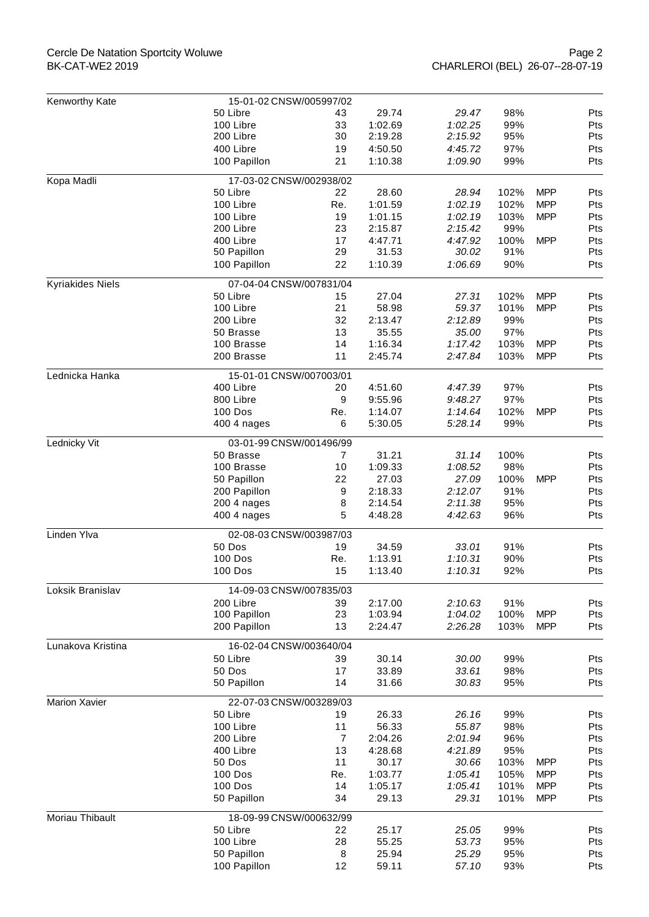## Cercle De Natation Sportcity Woluwe BK-CAT-WE2 2019

| Kenworthy Kate       | 15-01-02 CNSW/005997/02              |                |                    |                    |             |            |            |  |
|----------------------|--------------------------------------|----------------|--------------------|--------------------|-------------|------------|------------|--|
|                      | 50 Libre                             | 43             | 29.74              | 29.47              | 98%         |            | Pts        |  |
|                      | 100 Libre                            | 33             | 1:02.69            | 1:02.25            | 99%         |            | Pts        |  |
|                      | 200 Libre                            | 30             | 2:19.28            | 2:15.92            | 95%         |            | Pts        |  |
|                      | 400 Libre                            | 19             | 4:50.50            | 4:45.72            | 97%         |            | Pts        |  |
|                      | 100 Papillon                         | 21             | 1:10.38            | 1:09.90            | 99%         |            | Pts        |  |
| Kopa Madli           | 17-03-02 CNSW/002938/02              |                |                    |                    |             |            |            |  |
|                      | 50 Libre                             | 22             | 28.60              | 28.94              | 102%        | <b>MPP</b> | Pts        |  |
|                      | 100 Libre                            | Re.            | 1:01.59            | 1:02.19            | 102%        | <b>MPP</b> | Pts        |  |
|                      | 100 Libre                            | 19             | 1:01.15            | 1:02.19            | 103%        | <b>MPP</b> | Pts        |  |
|                      | 200 Libre                            | 23             | 2:15.87            | 2:15.42            | 99%         |            | Pts        |  |
|                      | 400 Libre                            | 17             | 4:47.71            | 4:47.92            | 100%        | <b>MPP</b> | Pts        |  |
|                      | 50 Papillon                          | 29             | 31.53              | 30.02              | 91%         |            | Pts        |  |
|                      | 100 Papillon                         | 22             | 1:10.39            | 1:06.69            | 90%         |            | Pts        |  |
| Kyriakides Niels     | 07-04-04 CNSW/007831/04              |                |                    |                    |             |            |            |  |
|                      | 50 Libre                             | 15             | 27.04              | 27.31              | 102%        | <b>MPP</b> | Pts        |  |
|                      | 100 Libre                            | 21             | 58.98              | 59.37              | 101%        | <b>MPP</b> | Pts        |  |
|                      | 200 Libre                            | 32             | 2:13.47            | 2:12.89            | 99%         |            | Pts        |  |
|                      | 50 Brasse                            | 13             | 35.55              | 35.00              | 97%         |            | Pts        |  |
|                      | 100 Brasse                           | 14             | 1:16.34            | 1:17.42            | 103%        | <b>MPP</b> | Pts        |  |
|                      | 200 Brasse                           | 11             | 2:45.74            | 2:47.84            | 103%        | <b>MPP</b> | Pts        |  |
|                      |                                      |                |                    |                    |             |            |            |  |
| Lednicka Hanka       | 15-01-01 CNSW/007003/01<br>400 Libre | 20             | 4:51.60            |                    | 97%         |            |            |  |
|                      | 800 Libre                            | 9              | 9:55.96            | 4:47.39<br>9:48.27 | 97%         |            | Pts<br>Pts |  |
|                      |                                      |                |                    |                    |             |            |            |  |
|                      | 100 Dos                              | Re.<br>6       | 1:14.07<br>5:30.05 | 1:14.64<br>5:28.14 | 102%<br>99% | <b>MPP</b> | Pts<br>Pts |  |
|                      | 400 4 nages                          |                |                    |                    |             |            |            |  |
| Lednicky Vit         | 03-01-99 CNSW/001496/99              |                |                    |                    |             |            |            |  |
|                      | 50 Brasse                            | $\overline{7}$ | 31.21              | 31.14              | 100%        |            | Pts        |  |
|                      | 100 Brasse                           | 10             | 1:09.33            | 1:08.52            | 98%         |            | Pts        |  |
|                      | 50 Papillon                          | 22             | 27.03              | 27.09              | 100%        | <b>MPP</b> | Pts        |  |
|                      | 200 Papillon                         | 9              | 2:18.33            | 2:12.07            | 91%         |            | <b>Pts</b> |  |
|                      | 200 4 nages                          | 8              | 2:14.54            | 2:11.38            | 95%         |            | Pts        |  |
|                      | 400 4 nages                          | 5              | 4:48.28            | 4:42.63            | 96%         |            | Pts        |  |
| Linden Ylva          | 02-08-03 CNSW/003987/03              |                |                    |                    |             |            |            |  |
|                      | 50 Dos                               | 19             | 34.59              | 33.01              | 91%         |            | Pts        |  |
|                      | 100 Dos                              | Re.            | 1:13.91            | 1:10.31            | 90%         |            | Pts        |  |
|                      | 100 Dos                              | 15             | 1:13.40            | 1:10.31            | 92%         |            | Pts        |  |
| Loksik Branislav     | 14-09-03 CNSW/007835/03              |                |                    |                    |             |            |            |  |
|                      | 200 Libre                            | 39             | 2:17.00            | 2:10.63            | 91%         |            | Pts        |  |
|                      | 100 Papillon                         | 23             | 1:03.94            | 1:04.02            | 100%        | <b>MPP</b> | Pts        |  |
|                      | 200 Papillon                         | 13             | 2:24.47            | 2:26.28            | 103%        | <b>MPP</b> | Pts        |  |
| Lunakova Kristina    | 16-02-04 CNSW/003640/04              |                |                    |                    |             |            |            |  |
|                      | 50 Libre                             | 39             | 30.14              | 30.00              | 99%         |            | Pts        |  |
|                      | 50 Dos                               | 17             | 33.89              | 33.61              | 98%         |            | Pts        |  |
|                      | 50 Papillon                          | 14             | 31.66              | 30.83              | 95%         |            | Pts        |  |
| <b>Marion Xavier</b> | 22-07-03 CNSW/003289/03              |                |                    |                    |             |            |            |  |
|                      | 50 Libre                             | 19             | 26.33              | 26.16              | 99%         |            | Pts        |  |
|                      | 100 Libre                            | 11             | 56.33              | 55.87              | 98%         |            | Pts        |  |
|                      | 200 Libre                            | 7              | 2:04.26            | 2:01.94            | 96%         |            | Pts        |  |
|                      | 400 Libre                            | 13             | 4:28.68            | 4:21.89            | 95%         |            | Pts        |  |
|                      | 50 Dos                               | 11             | 30.17              | 30.66              | 103%        | <b>MPP</b> | Pts        |  |
|                      | 100 Dos                              | Re.            | 1:03.77            | 1:05.41            | 105%        | <b>MPP</b> | Pts        |  |
|                      | 100 Dos                              | 14             | 1:05.17            | 1:05.41            | 101%        | <b>MPP</b> | Pts        |  |
|                      | 50 Papillon                          | 34             | 29.13              | 29.31              | 101%        | <b>MPP</b> | Pts        |  |
| Moriau Thibault      | 18-09-99 CNSW/000632/99              |                |                    |                    |             |            |            |  |
|                      | 50 Libre                             | 22             | 25.17              | 25.05              | 99%         |            | Pts        |  |
|                      | 100 Libre                            | 28             | 55.25              | 53.73              | 95%         |            | Pts        |  |
|                      | 50 Papillon                          | 8              | 25.94              | 25.29              | 95%         |            | Pts        |  |
|                      | 100 Papillon                         | 12             | 59.11              | 57.10              | 93%         |            | Pts        |  |